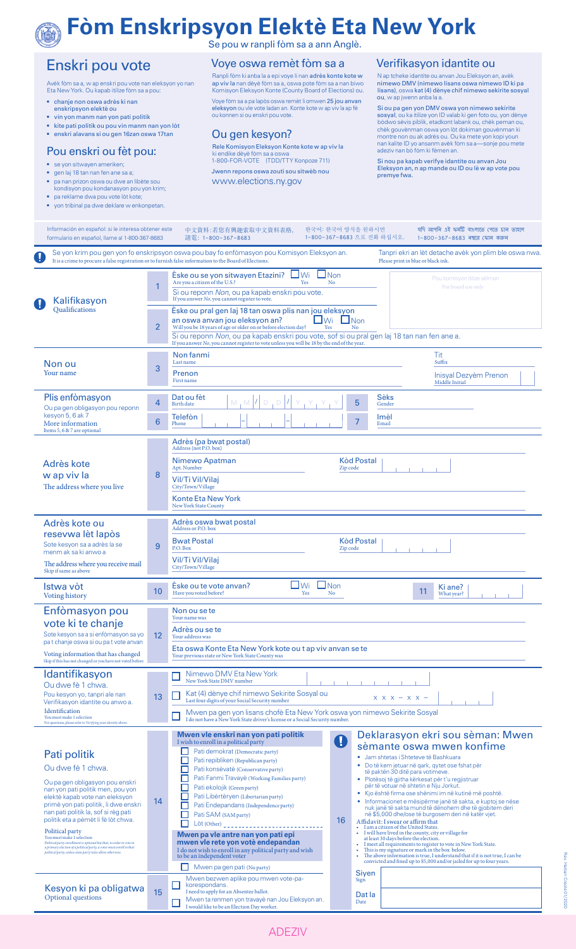#### **Fòm Enskripsyon Elektè Eta New York**  $\textcircled{a}$

Se pou w ranpli fòm sa a ann Anglè.

### Enskri pou vote

Avèk fòm sa a, w ap enskri pou vote nan eleksyon yo nan Eta New York. Ou kapab itilize fòm sa a pou:

- chanje non oswa adrès ki nan enskripsyon elektè ou
- 
- vin yon manm nan yon pati politik
- kite pati politik ou pou vin manm nan yon lòt • enskri alavans si ou gen 16zan oswa 17tan

#### Pou enskri ou fèt pou:

- se yon sitwayen ameriken;
- gen laj 18 tan nan fen ane sa a;
- pa nan prizon oswa ou dwe an libète sou kondisyon pou kondanasyon pou yon krim;
- pa reklame dwa pou vote lòt kote; • yon tribinal pa dwe deklare w enkonpetan.

Voye oswa remèt fòm sa a

Ranpli fòm ki anba la a epi voye li nan **adrès konte kote w**<br>**ap viv la** nan dèyè fòm sa a, oswa pote fòm sa a nan biwo Komisyon Eleksyon Konte (County Board of Elections) ou. Voye fòm sa a pa lapòs oswa remèt li omwen **25 jou anvan**<br>**eleksyon** ou vle vote ladan an. Konte kote w ap viv la ap fè<br>ou konnen si ou enskri pou vote.

#### Ou gen kesyon?

Rele Komisyon Eleksyon Konte kote w ap viv la ki endike dèyè fòm sa a oswa 1-800-FOR-VOTE (TDD/TTY Konpoze 711) Jwenn repons oswa zouti sou sitwèb nou www.elections.ny.gov

#### Verifikasyon idantite ou

N ap tcheke idantite ou anvan Jou Eleksyon an, avèk nimewo DMV (nimewo lisans oswa nimewo ID ki pa lisans), oswa kat (4) dènye chif nimewo sekirite sosyal ou, w ap jwenn anba la a.

Si ou pa gen yon DMV oswa yon nimewo sekirite<br>sosyal, ou ka itilize yon ID valab ki gen foto ou, yon dènye<br>bòdwo sèvis piblik, etadkont labank ou, chèk peman ou,<br>chèk gouvènman oswa yon lòt dokiman gouvènman ki<br>montre non

Si nou pa kapab verifye idantite ou anvan Jou Eleksyon an, n ap mande ou ID ou lè w ap vote pou premye fwa.

| Información en español: si le interesa obtener este<br>formulario en español, llame al 1-800-367-8683                                                                                                                                                                                                                                                                                                                                                                                                                             |                | 中文資料:若您有興趣索取中文資料表格,<br>請電:1-800-367-8683                                                                                                                                                                                                                                                                                                                                                                                                                                                                                                                                                      | 한국어: 한국어 양식을 원하시면<br>1-800-367-8683 으로 전화 하십시오. |                                        |                | যদি আপনি এই ফৰ্মটি বাংলাতে পেতে চান তাহলে<br>1-800-367-8683 নম্বরে ফোন করুন                                                                                                                                                                                                                                                                                                                                                                                                                                                                                                                                                                                                                                                                                                                                                                                                                                                                                                                                                                                                                                                                                      |
|-----------------------------------------------------------------------------------------------------------------------------------------------------------------------------------------------------------------------------------------------------------------------------------------------------------------------------------------------------------------------------------------------------------------------------------------------------------------------------------------------------------------------------------|----------------|-----------------------------------------------------------------------------------------------------------------------------------------------------------------------------------------------------------------------------------------------------------------------------------------------------------------------------------------------------------------------------------------------------------------------------------------------------------------------------------------------------------------------------------------------------------------------------------------------|-------------------------------------------------|----------------------------------------|----------------|------------------------------------------------------------------------------------------------------------------------------------------------------------------------------------------------------------------------------------------------------------------------------------------------------------------------------------------------------------------------------------------------------------------------------------------------------------------------------------------------------------------------------------------------------------------------------------------------------------------------------------------------------------------------------------------------------------------------------------------------------------------------------------------------------------------------------------------------------------------------------------------------------------------------------------------------------------------------------------------------------------------------------------------------------------------------------------------------------------------------------------------------------------------|
| U                                                                                                                                                                                                                                                                                                                                                                                                                                                                                                                                 |                | Se yon krim pou gen yon fo enskripsyon oswa pou bay fo enfòmasyon pou Komisyon Eleksyon an.<br>It is a crime to procure a false registration or to furnish false information to the Board of Elections.                                                                                                                                                                                                                                                                                                                                                                                       |                                                 |                                        |                | Tanpri ekri an lèt detache avèk yon plim ble oswa nwa.                                                                                                                                                                                                                                                                                                                                                                                                                                                                                                                                                                                                                                                                                                                                                                                                                                                                                                                                                                                                                                                                                                           |
| Kalifikasyon<br>O                                                                                                                                                                                                                                                                                                                                                                                                                                                                                                                 | 1              | $\bigsqcup$ Wi<br>Eske ou se yon sitwayen Etazini?<br>Are you a citizen of the U.S.?<br>Yes<br>Si ou reponn Non, ou pa kapab enskri pou vote.<br>If you answer No, you cannot register to vote.                                                                                                                                                                                                                                                                                                                                                                                               | $\Box$ Non<br>N <sub>o</sub>                    |                                        |                | Pou komisyon itilize sèlman<br>For board use only                                                                                                                                                                                                                                                                                                                                                                                                                                                                                                                                                                                                                                                                                                                                                                                                                                                                                                                                                                                                                                                                                                                |
| <b>Oualifications</b>                                                                                                                                                                                                                                                                                                                                                                                                                                                                                                             | $\overline{2}$ | Eske ou pral gen laj 18 tan oswa plis nan jou eleksyon<br>an oswa anvan jou eleksyon an?<br>Will you be 18 years of age or older on or before election day?<br>Si ou reponn Non, ou pa kapab enskri pou vote, sof si ou pral gen laj 18 tan nan fen ane a.<br>If you answer No, you cannot register to vote unless you will be 18 by the end of the year.                                                                                                                                                                                                                                     | $\bigsqcup$ Wi<br>Yes                           | $\Box$ Non<br>N <sub>o</sub>           |                |                                                                                                                                                                                                                                                                                                                                                                                                                                                                                                                                                                                                                                                                                                                                                                                                                                                                                                                                                                                                                                                                                                                                                                  |
| Non ou                                                                                                                                                                                                                                                                                                                                                                                                                                                                                                                            |                | Non fanmi<br>Last name                                                                                                                                                                                                                                                                                                                                                                                                                                                                                                                                                                        |                                                 |                                        |                | Please print in blue or black ink.<br>Tit<br>Suffix<br>Inisyal Dezyèm Prenon<br>Middle Initial<br>Ki ane?<br>11<br>What year?<br>$X$ $X$ $X$ $ X$ $X$ $-$<br>Deklarasyon ekri sou sèman: Mwen<br>sèmante oswa mwen konfime<br>· Jam shtetas i Shteteve të Bashkuara<br>• Do të kem jetuar në qark, qytet ose fshat për<br>të paktën 30 ditë para votimeve.<br>· Plotësoj të gjitha kërkesat për t'u regjistruar<br>për të votuar në shtetin e Nju Jorkut.<br>· Kjo është firma ose shënimi im në kutinë më poshtë.<br>• Informacionet e mësipërme janë të sakta, e kuptoj se nëse<br>nuk janë të sakta mund të dënohem dhe të gjobitem deri<br>në \$5,000 dhe/ose të burgosem deri në katër vjet.<br>Affidavit: I swear or affirm that<br>• I am a citizen of the United States.<br>• I will have lived in the county, city or village for<br>at least 30 days before the election.<br>I meet all requirements to register to vote in New York State.<br>This is my signature or mark in the box below.<br>The above information is true, I understand that if it is not true, I can be<br>convicted and fined up to \$5,000 and/or jailed for up to four years. |
| Your name                                                                                                                                                                                                                                                                                                                                                                                                                                                                                                                         | 3              | Prenon<br>First name                                                                                                                                                                                                                                                                                                                                                                                                                                                                                                                                                                          |                                                 |                                        |                |                                                                                                                                                                                                                                                                                                                                                                                                                                                                                                                                                                                                                                                                                                                                                                                                                                                                                                                                                                                                                                                                                                                                                                  |
| Plis enfomasyon<br>Ou pa gen obligasyon pou reponn<br>kesyon 5, 6 ak 7<br>More information                                                                                                                                                                                                                                                                                                                                                                                                                                        | 4              | Dat ou fèt<br>$M, M$ $ I $ $D, D$ $ I $<br><b>Birth</b> date                                                                                                                                                                                                                                                                                                                                                                                                                                                                                                                                  |                                                 | 5                                      | Sèks<br>Gender |                                                                                                                                                                                                                                                                                                                                                                                                                                                                                                                                                                                                                                                                                                                                                                                                                                                                                                                                                                                                                                                                                                                                                                  |
|                                                                                                                                                                                                                                                                                                                                                                                                                                                                                                                                   | 6              | <b>Telefon</b><br>Phone                                                                                                                                                                                                                                                                                                                                                                                                                                                                                                                                                                       |                                                 | 7                                      | Imèl<br>Email  |                                                                                                                                                                                                                                                                                                                                                                                                                                                                                                                                                                                                                                                                                                                                                                                                                                                                                                                                                                                                                                                                                                                                                                  |
| Items 5, 6 & 7 are optional                                                                                                                                                                                                                                                                                                                                                                                                                                                                                                       |                | Adrès (pa bwat postal)<br>Address (not P.O. box)                                                                                                                                                                                                                                                                                                                                                                                                                                                                                                                                              |                                                 |                                        |                |                                                                                                                                                                                                                                                                                                                                                                                                                                                                                                                                                                                                                                                                                                                                                                                                                                                                                                                                                                                                                                                                                                                                                                  |
| Adrès kote<br>w ap viv la<br>The address where you live                                                                                                                                                                                                                                                                                                                                                                                                                                                                           | 8              | Nimewo Apatman<br>Apt. Number<br>Vil/Ti Vil/Vilaj<br>City/Town/Village<br><b>Konte Eta New York</b><br>New York State County                                                                                                                                                                                                                                                                                                                                                                                                                                                                  | Zip code                                        | <b>Kòd Postal</b>                      |                |                                                                                                                                                                                                                                                                                                                                                                                                                                                                                                                                                                                                                                                                                                                                                                                                                                                                                                                                                                                                                                                                                                                                                                  |
| Adrès kote ou<br>resevwa lèt lapòs<br>Sote kesyon sa a adrès la se<br>menm ak sa ki anwo a<br>The address where you receive mail<br>Skip if same as above                                                                                                                                                                                                                                                                                                                                                                         | 9              | Adrès oswa bwat postal<br>Address or P.O. box<br><b>Bwat Postal</b><br>P.O. Box<br>Vil/Ti Vil/Vilai<br>City/Town/Village                                                                                                                                                                                                                                                                                                                                                                                                                                                                      | Zip code                                        | <b>Kòd Postal</b>                      |                |                                                                                                                                                                                                                                                                                                                                                                                                                                                                                                                                                                                                                                                                                                                                                                                                                                                                                                                                                                                                                                                                                                                                                                  |
| Istwa vòt<br><b>Voting history</b>                                                                                                                                                                                                                                                                                                                                                                                                                                                                                                | 10             | $\Box$ Wi<br>Eske ou te vote anvan?<br>Have you voted before?<br>Yes                                                                                                                                                                                                                                                                                                                                                                                                                                                                                                                          | $\Box$ Non<br>No                                |                                        |                |                                                                                                                                                                                                                                                                                                                                                                                                                                                                                                                                                                                                                                                                                                                                                                                                                                                                                                                                                                                                                                                                                                                                                                  |
| Enfòmasyon pou<br>vote ki te chanje<br>Sote kesyon sa a si enfòmasyon sa yo<br>pa t chanje oswa si ou pa t vote anvan<br>Voting information that has changed<br>Skip if this has not changed or you have not voted before                                                                                                                                                                                                                                                                                                         | 12             | Non ou se te<br>Your name was<br>Adrès ou se te<br>Your address was<br>Eta oswa Konte Eta New York kote ou t ap viv anvan se te<br>Your previous state or New York State County was                                                                                                                                                                                                                                                                                                                                                                                                           |                                                 |                                        |                |                                                                                                                                                                                                                                                                                                                                                                                                                                                                                                                                                                                                                                                                                                                                                                                                                                                                                                                                                                                                                                                                                                                                                                  |
| Idantifikasyon<br>Ou dwe fè 1 chwa.<br>Pou kesyon yo, tanpri ale nan<br>Verifikasyon idantite ou anwo a.<br>Identification<br>You must make 1 selection<br>For questions, please refer to Verifying your identity above.                                                                                                                                                                                                                                                                                                          | 13             | Nimewo DMV Eta New York<br>New York State DMV number<br>Kat (4) dènye chif nimewo Sekirite Sosyal ou<br>Last four digits of your Social Security number<br>Mwen pa gen yon lisans chofè Eta New York oswa yon nimewo Sekirite Sosyal<br>I do not have a New York State driver's license or a Social Security number.                                                                                                                                                                                                                                                                          |                                                 |                                        |                |                                                                                                                                                                                                                                                                                                                                                                                                                                                                                                                                                                                                                                                                                                                                                                                                                                                                                                                                                                                                                                                                                                                                                                  |
| Pati politik<br>Ou dwe fè 1 chwa.<br>Ou pa gen obligasyon pou enskri<br>nan yon pati politik men, pou yon<br>elektè kapab vote nan eleksyon<br>primè yon pati politik, li dwe enskri<br>nan pati politik la, sof si règ pati<br>politik eta a pèmèt li fè lòt chwa.<br>Political party<br>You must make 1 selection<br>Political party enrollment is optional but that, in order to vote in<br>a primary election of a political party, a voter must enroll in that<br>political party, unless state party rules allow otherwise. | 14             | Mwen vle enskri nan yon pati politik<br>I wish to enroll in a political party<br>Pati demokrat (Democratic party)<br>□<br>Pati repibliken (Republican party)<br>Pati konsèvatè (Conservative party)<br>Pati Fanmi Travayè (Working Families party)<br>Pati ekolojik (Green party)<br>Pati Libèrtèryen (Libertarian party)<br>Pati Endepandans (Independence party)<br>Pati SAM (SAM party)<br>Mwen pa vle antre nan yon pati epi<br>mwen vle rete yon votè endepandan<br>I do not wish to enroll in any political party and wish<br>to be an independent voter<br>Mwen pa gen pati (No party) | O<br>16                                         | ٠<br>٠                                 |                |                                                                                                                                                                                                                                                                                                                                                                                                                                                                                                                                                                                                                                                                                                                                                                                                                                                                                                                                                                                                                                                                                                                                                                  |
| Kesyon ki pa obligatwa<br>Optional questions                                                                                                                                                                                                                                                                                                                                                                                                                                                                                      | 15             | Mwen bezwen aplike pou mwen vote-pa-<br>korespondans.<br>I need to apply for an Absentee ballot.<br>Mwen ta renmen yon travayè nan Jou Eleksyon an.<br>I would like to be an Election Day worker.                                                                                                                                                                                                                                                                                                                                                                                             |                                                 | <b>Siven</b><br>Sign<br>Dat la<br>Date |                |                                                                                                                                                                                                                                                                                                                                                                                                                                                                                                                                                                                                                                                                                                                                                                                                                                                                                                                                                                                                                                                                                                                                                                  |